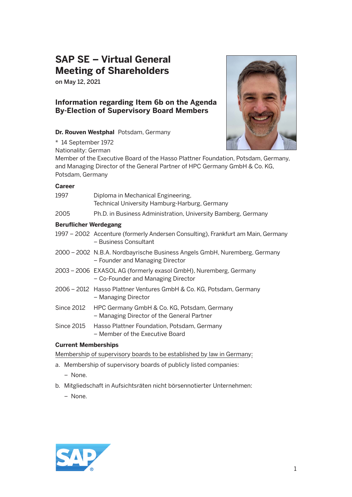# **SAP SE – Virtual General Meeting of Shareholders**

on May 12, 2021

\* 14 September 1972

## **Information regarding Item 6b on the Agenda By-Election of Supervisory Board Members**

### **Dr. Rouven Westphal** Potsdam, Germany



Nationality: German Member of the Executive Board of the Hasso Plattner Foundation, Potsdam, Germany, and Managing Director of the General Partner of HPC Germany GmbH & Co. KG, Potsdam, Germany

### **Career**

| 1997                         | Diploma in Mechanical Engineering,<br>Technical University Hamburg-Harburg, Germany                          |
|------------------------------|--------------------------------------------------------------------------------------------------------------|
| 2005                         | Ph.D. in Business Administration, University Bamberg, Germany                                                |
| <b>Beruflicher Werdegang</b> |                                                                                                              |
|                              | 1997 – 2002 Accenture (formerly Andersen Consulting), Frankfurt am Main, Germany<br>- Business Consultant    |
|                              | 2000 – 2002 N.B.A. Nordbayrische Business Angels GmbH, Nuremberg, Germany<br>- Founder and Managing Director |
|                              | 2003 – 2006 EXASOL AG (formerly exasol GmbH), Nuremberg, Germany<br>- Co-Founder and Managing Director       |
|                              | 2006 - 2012 Hasso Plattner Ventures GmbH & Co. KG, Potsdam, Germany<br>– Managing Director                   |
| <b>Since 2012</b>            | HPC Germany GmbH & Co. KG, Potsdam, Germany<br>- Managing Director of the General Partner                    |
| Since 2015                   | Hasso Plattner Foundation, Potsdam, Germany<br>- Member of the Executive Board                               |
| <b>Current Memberships</b>   |                                                                                                              |

Membership of supervisory boards to be established by law in Germany:

- a. Membership of supervisory boards of publicly listed companies:
	- None.
- b. Mitgliedschaft in Aufsichtsräten nicht börsennotierter Unternehmen:
	- None.